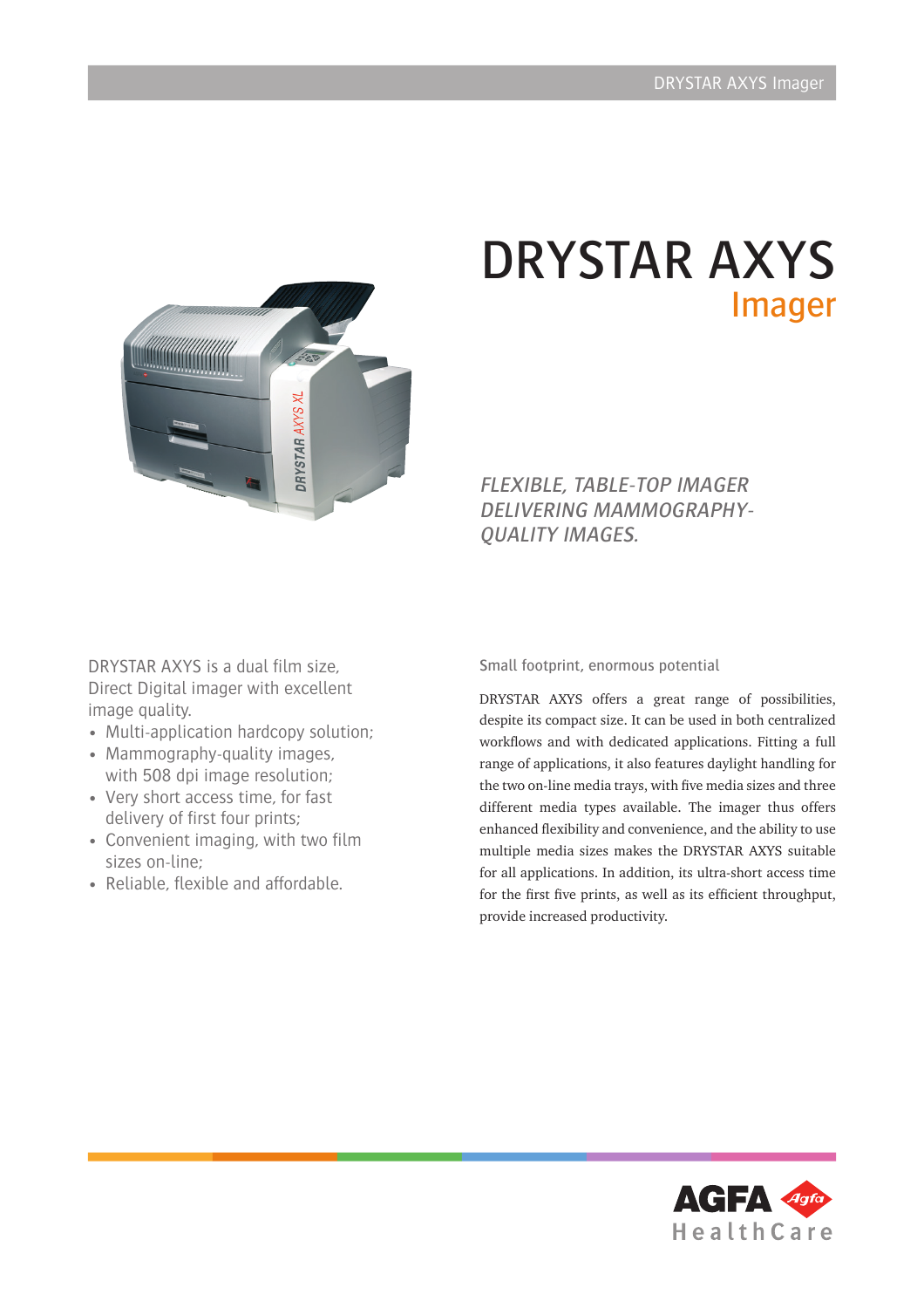

# DRYSTAR AXYS Imager

FLEXIBLE, TABLE-TOP IMAGER DELIVERING MAMMOGRAPHY-QUALITY IMAGES.

DRYSTAR AXYS is a dual flm size, Direct Digital imager with excellent image quality.

- Multi-application hardcopy solution;
- Mammography-quality images, with 508 dpi image resolution;
- Very short access time, for fast delivery of first four prints;
- Convenient imaging, with two film sizes on-line;
- Reliable, flexible and affordable.

Small footprint, enormous potential

DRYSTAR AXYS offers a great range of possibilities, despite its compact size. It can be used in both centralized workflows and with dedicated applications. Fitting a full range of applications, it also features daylight handling for the two on-line media trays, with five media sizes and three different media types available. The imager thus offers enhanced fexibility and convenience, and the ability to use multiple media sizes makes the DRYSTAR AXYS suitable for all applications. In addition, its ultra-short access time for the first five prints, as well as its efficient throughput, provide increased productivity.

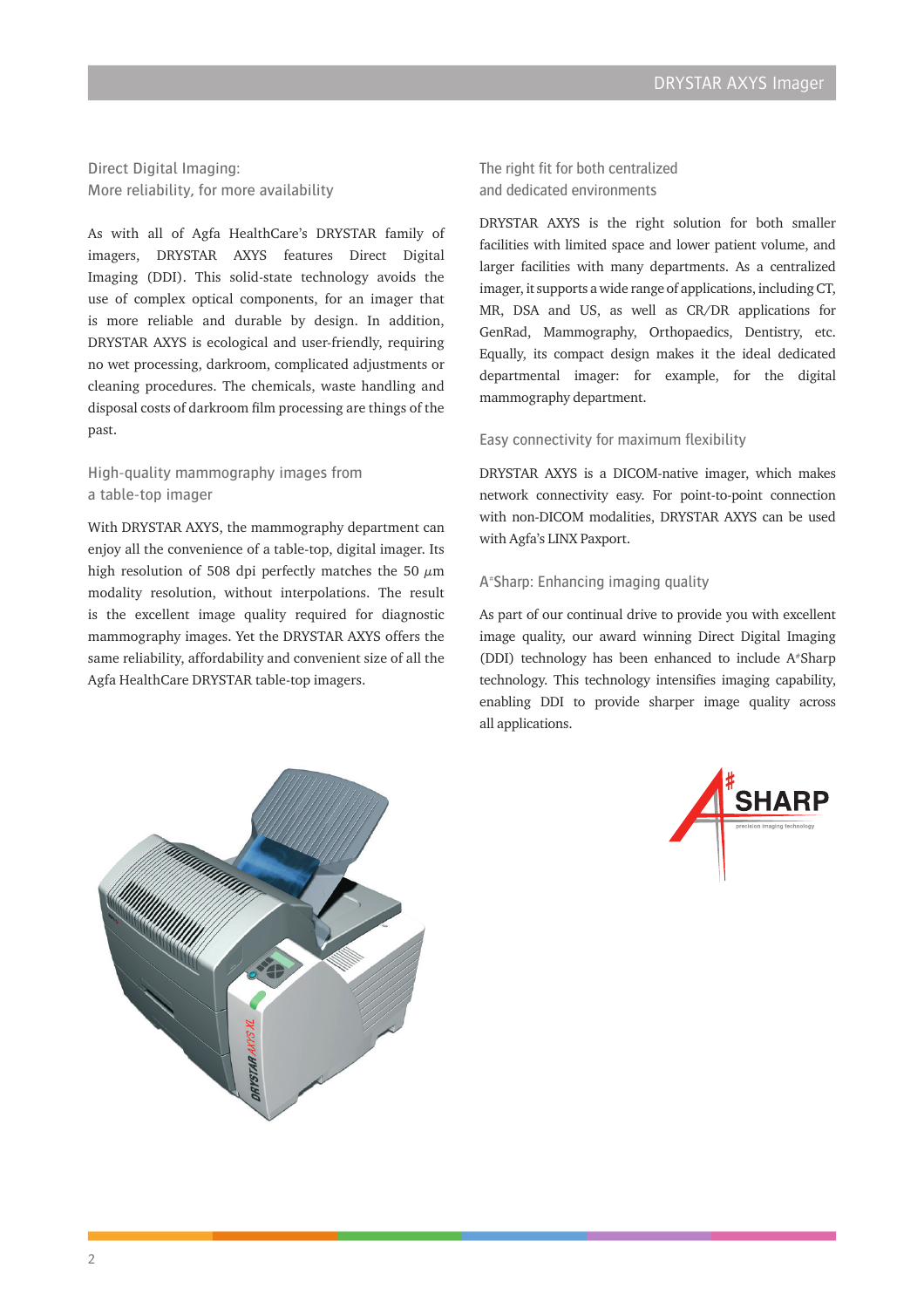Direct Digital Imaging: More reliability, for more availability

As with all of Agfa HealthCare's DRYSTAR family of imagers, DRYSTAR AXYS features Direct Digital Imaging (DDI). This solid-state technology avoids the use of complex optical components, for an imager that is more reliable and durable by design. In addition, DRYSTAR AXYS is ecological and user-friendly, requiring no wet processing, darkroom, complicated adjustments or cleaning procedures. The chemicals, waste handling and disposal costs of darkroom flm processing are things of the past.

# High-quality mammography images from a table-top imager

With DRYSTAR AXYS, the mammography department can enjoy all the convenience of a table-top, digital imager. Its high resolution of 508 dpi perfectly matches the 50  $\mu$ m modality resolution, without interpolations. The result is the excellent image quality required for diagnostic mammography images. Yet the DRYSTAR AXYS offers the same reliability, affordability and convenient size of all the Agfa HealthCare DRYSTAR table-top imagers.

The right fit for both centralized and dedicated environments

DRYSTAR AXYS is the right solution for both smaller facilities with limited space and lower patient volume, and larger facilities with many departments. As a centralized imager, it supports a wide range of applications, including CT, MR, DSA and US, as well as CR/DR applications for GenRad, Mammography, Orthopaedics, Dentistry, etc. Equally, its compact design makes it the ideal dedicated departmental imager: for example, for the digital mammography department.

#### Easy connectivity for maximum fexibility

DRYSTAR AXYS is a DICOM-native imager, which makes network connectivity easy. For point-to-point connection with non-DICOM modalities, DRYSTAR AXYS can be used with Agfa's LINX Paxport.

### A# Sharp: Enhancing imaging quality

As part of our continual drive to provide you with excellent image quality, our award winning Direct Digital Imaging (DDI) technology has been enhanced to include A#Sharp technology. This technology intensifes imaging capability, enabling DDI to provide sharper image quality across all applications.



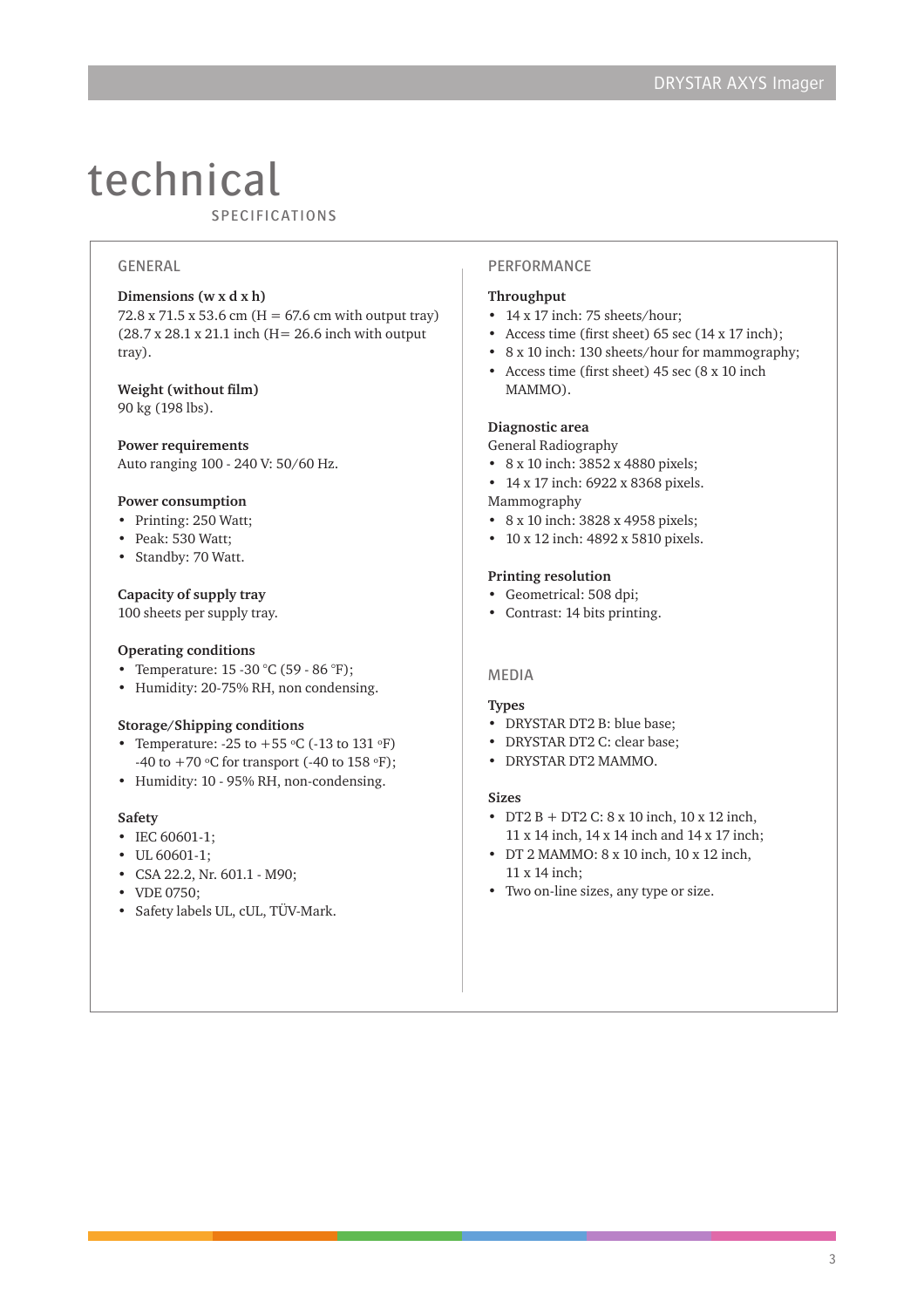# technical

SPECIFICATIONS

# GENERAL

#### **Dimensions (w x d x h)**

72.8 x 71.5 x 53.6 cm (H = 67.6 cm with output tray) (28.7 x 28.1 x 21.1 inch (H= 26.6 inch with output tray).

#### **Weight (without flm)** 90 kg (198 lbs).

**Power requirements** Auto ranging 100 - 240 V: 50/60 Hz.

#### **Power consumption**

- Printing: 250 Watt;
- Peak: 530 Watt;
- Standby: 70 Watt.

#### **Capacity of supply tray**

100 sheets per supply tray.

#### **Operating conditions**

- Temperature: 15 -30 °C (59 86 °F);
- Humidity: 20-75% RH, non condensing.

#### **Storage/Shipping conditions**

- Temperature:  $-25$  to  $+55$  °C ( $-13$  to  $131$  °F) -40 to  $+70$  °C for transport (-40 to 158 °F);
- Humidity: 10 95% RH, non-condensing.

#### **Safety**

- IEC 60601-1;
- UL 60601-1;
- CSA 22.2, Nr. 601.1 M90;
- VDE 0750;
- Safety labels UL, cUL, TÜV-Mark.

## PERFORMANCE

# **Throughput**

- 14 x 17 inch: 75 sheets/hour;
- Access time (frst sheet) 65 sec (14 x 17 inch);
- 8 x 10 inch: 130 sheets/hour for mammography;
- Access time (frst sheet) 45 sec (8 x 10 inch MAMMO).

#### **Diagnostic area**

General Radiography

• 8 x 10 inch: 3852 x 4880 pixels; • 14 x 17 inch: 6922 x 8368 pixels.

Mammography

- 8 x 10 inch: 3828 x 4958 pixels;
- 10 x 12 inch: 4892 x 5810 pixels.

#### **Printing resolution**

- Geometrical: 508 dpi;
- Contrast: 14 bits printing.

#### MEDIA

#### **Types**

- DRYSTAR DT2 B: blue base;
- DRYSTAR DT2 C: clear base;
- DRYSTAR DT2 MAMMO.

#### **Sizes**

- DT2 B + DT2 C: 8 x 10 inch, 10 x 12 inch, 11 x 14 inch, 14 x 14 inch and 14 x 17 inch;
- DT 2 MAMMO: 8 x 10 inch, 10 x 12 inch, 11 x 14 inch;
- Two on-line sizes, any type or size.